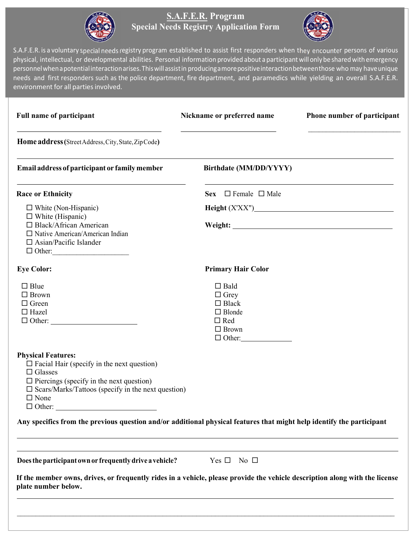

### S.A.F.E.R. Program Special Needs Registry Application Form



S.A.F.E.R. is a voluntary special needs registry program established to assist first responders when they encounter persons of various physical, intellectual, or developmental abilities. Personal information provided about a participant will only be shared with emergency personnel when a potential interaction arises. This will assist in producing a more positive interaction between those who may have unique needs and first responders such as the police department, fire department, and paramedics while yielding an overall S.A.F.E.R. environment for all parties involved.

| <b>Full name of participant</b>                                                                                                                                                                                                                     | Nickname or preferred name                                                                                 | Phone number of participant |
|-----------------------------------------------------------------------------------------------------------------------------------------------------------------------------------------------------------------------------------------------------|------------------------------------------------------------------------------------------------------------|-----------------------------|
| Home address (Street Address, City, State, Zip Code)                                                                                                                                                                                                |                                                                                                            |                             |
| Email address of participant or family member                                                                                                                                                                                                       | Birthdate (MM/DD/YYYY)                                                                                     |                             |
| <b>Race or Ethnicity</b>                                                                                                                                                                                                                            | Sex $\Box$ Female $\Box$ Male                                                                              |                             |
| $\Box$ White (Non-Hispanic)<br>$\Box$ White (Hispanic)<br>□ Black/African American<br>$\Box$ Native American/American Indian<br>$\Box$ Asian/Pacific Islander<br>$\Box$ Other:                                                                      |                                                                                                            |                             |
| <b>Eye Color:</b>                                                                                                                                                                                                                                   | <b>Primary Hair Color</b>                                                                                  |                             |
| $\Box$ Blue<br>$\Box$ Brown<br>$\Box$ Green<br>$\Box$ Hazel                                                                                                                                                                                         | $\Box$ Bald<br>$\Box$ Grey<br>$\Box$ Black<br>$\Box$ Blonde<br>$\Box$ Red<br>$\Box$ Brown<br>$\Box$ Other: |                             |
| <b>Physical Features:</b><br>$\Box$ Facial Hair (specify in the next question)<br>$\Box$ Glasses<br>$\Box$ Piercings (specify in the next question)<br>$\square$ Scars/Marks/Tattoos (specify in the next question)<br>$\Box$ None<br>$\Box$ Other: |                                                                                                            |                             |
| Any specifics from the previous question and/or additional physical features that might help identify the participant                                                                                                                               |                                                                                                            |                             |
| Does the participant own or frequently drive a vehicle?                                                                                                                                                                                             | Yes $\square$ No $\square$                                                                                 |                             |
| If the member owns, drives, or frequently rides in a vehicle, please provide the vehicle description along with the license<br>plate number below.                                                                                                  |                                                                                                            |                             |

 $\mathcal{L}_\mathcal{L} = \mathcal{L}_\mathcal{L} = \mathcal{L}_\mathcal{L} = \mathcal{L}_\mathcal{L} = \mathcal{L}_\mathcal{L} = \mathcal{L}_\mathcal{L} = \mathcal{L}_\mathcal{L} = \mathcal{L}_\mathcal{L} = \mathcal{L}_\mathcal{L} = \mathcal{L}_\mathcal{L} = \mathcal{L}_\mathcal{L} = \mathcal{L}_\mathcal{L} = \mathcal{L}_\mathcal{L} = \mathcal{L}_\mathcal{L} = \mathcal{L}_\mathcal{L} = \mathcal{L}_\mathcal{L} = \mathcal{L}_\mathcal{L}$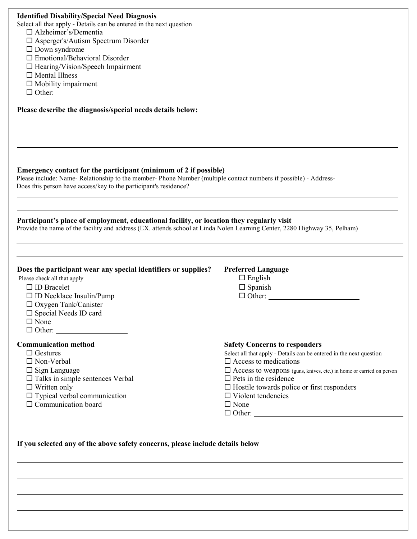| <b>Identified Disability/Special Need Diagnosis</b><br>Select all that apply - Details can be entered in the next question<br>$\Box$ Alzheimer's/Dementia<br>$\square$ Asperger's/Autism Spectrum Disorder<br>$\Box$ Down syndrome<br>$\square$ Emotional/Behavioral Disorder<br>$\Box$ Hearing/Vision/Speech Impairment<br>$\Box$ Mental Illness<br>$\Box$ Mobility impairment |                                                                                                                                                                                                                                                                                                                                                                                   |
|---------------------------------------------------------------------------------------------------------------------------------------------------------------------------------------------------------------------------------------------------------------------------------------------------------------------------------------------------------------------------------|-----------------------------------------------------------------------------------------------------------------------------------------------------------------------------------------------------------------------------------------------------------------------------------------------------------------------------------------------------------------------------------|
| Please describe the diagnosis/special needs details below:                                                                                                                                                                                                                                                                                                                      |                                                                                                                                                                                                                                                                                                                                                                                   |
| Emergency contact for the participant (minimum of 2 if possible)<br>Please include: Name-Relationship to the member-Phone Number (multiple contact numbers if possible) - Address-<br>Does this person have access/key to the participant's residence?<br>Participant's place of employment, educational facility, or location they regularly visit                             |                                                                                                                                                                                                                                                                                                                                                                                   |
| Provide the name of the facility and address (EX. attends school at Linda Nolen Learning Center, 2280 Highway 35, Pelham)                                                                                                                                                                                                                                                       |                                                                                                                                                                                                                                                                                                                                                                                   |
| Does the participant wear any special identifiers or supplies?<br>Please check all that apply<br>$\square$ ID Bracelet<br>$\square$ ID Necklace Insulin/Pump<br>□ Oxygen Tank/Canister<br>$\square$ Special Needs ID card<br>$\Box$ None                                                                                                                                        | <b>Preferred Language</b><br>$\Box$ English<br>$\Box$ Spanish<br>$\Box$ Other:                                                                                                                                                                                                                                                                                                    |
| <b>Communication method</b><br>$\Box$ Gestures<br>$\square$ Non-Verbal<br>$\Box$ Sign Language<br>$\square$ Talks in simple sentences Verbal<br>$\Box$ Written only<br>$\Box$ Typical verbal communication<br>$\Box$ Communication board                                                                                                                                        | <b>Safety Concerns to responders</b><br>Select all that apply - Details can be entered in the next question<br>$\square$ Access to medications<br>$\Box$ Access to weapons (guns, knives, etc.) in home or carried on person<br>$\square$ Pets in the residence<br>$\Box$ Hostile towards police or first responders<br>$\Box$ Violent tendencies<br>$\Box$ None<br>$\Box$ Other: |

If you selected any of the above safety concerns, please include details below

l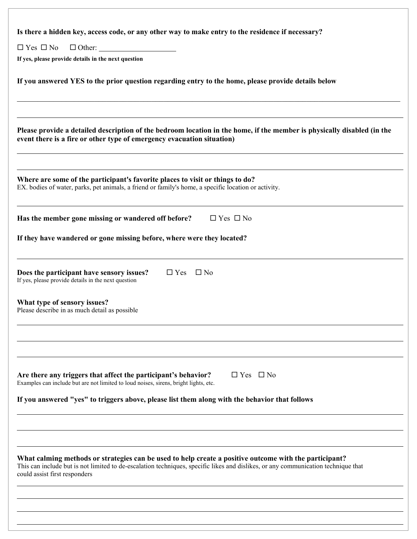| Is there a hidden key, access code, or any other way to make entry to the residence if necessary?                                                                                                                                                                            |  |  |  |
|------------------------------------------------------------------------------------------------------------------------------------------------------------------------------------------------------------------------------------------------------------------------------|--|--|--|
| $\Box$ Yes $\Box$ No<br>$\Box$ Other:                                                                                                                                                                                                                                        |  |  |  |
| If yes, please provide details in the next question                                                                                                                                                                                                                          |  |  |  |
| If you answered YES to the prior question regarding entry to the home, please provide details below                                                                                                                                                                          |  |  |  |
| Please provide a detailed description of the bedroom location in the home, if the member is physically disabled (in the<br>event there is a fire or other type of emergency evacuation situation)                                                                            |  |  |  |
| Where are some of the participant's favorite places to visit or things to do?<br>EX. bodies of water, parks, pet animals, a friend or family's home, a specific location or activity.                                                                                        |  |  |  |
| Has the member gone missing or wandered off before?<br>$\Box$ Yes $\Box$ No                                                                                                                                                                                                  |  |  |  |
| If they have wandered or gone missing before, where were they located?                                                                                                                                                                                                       |  |  |  |
| Does the participant have sensory issues?<br>$\Box$ Yes<br>$\square$ No<br>If yes, please provide details in the next question                                                                                                                                               |  |  |  |
| What type of sensory issues?<br>Please describe in as much detail as possible                                                                                                                                                                                                |  |  |  |
|                                                                                                                                                                                                                                                                              |  |  |  |
| $\Box$ Yes $\Box$ No<br>Are there any triggers that affect the participant's behavior?<br>Examples can include but are not limited to loud noises, sirens, bright lights, etc.                                                                                               |  |  |  |
| If you answered "yes" to triggers above, please list them along with the behavior that follows                                                                                                                                                                               |  |  |  |
|                                                                                                                                                                                                                                                                              |  |  |  |
| What calming methods or strategies can be used to help create a positive outcome with the participant?<br>This can include but is not limited to de-escalation techniques, specific likes and dislikes, or any communication technique that<br>could assist first responders |  |  |  |
|                                                                                                                                                                                                                                                                              |  |  |  |
|                                                                                                                                                                                                                                                                              |  |  |  |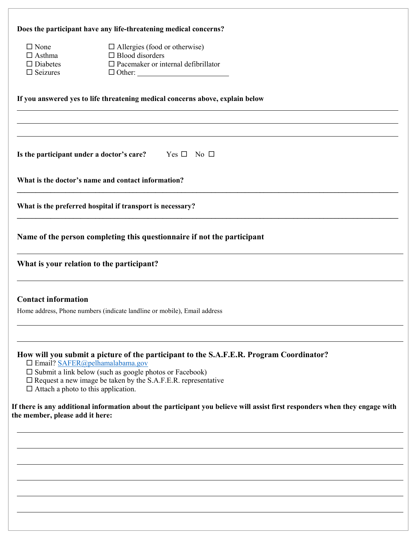|                                            | Does the participant have any life-threatening medical concerns?                                                                                                                                                                                                                                                                                                                                                |  |  |  |
|--------------------------------------------|-----------------------------------------------------------------------------------------------------------------------------------------------------------------------------------------------------------------------------------------------------------------------------------------------------------------------------------------------------------------------------------------------------------------|--|--|--|
| $\square$ None                             | $\Box$ Allergies (food or otherwise)                                                                                                                                                                                                                                                                                                                                                                            |  |  |  |
| $\Box$ Asthma                              | $\Box$ Blood disorders                                                                                                                                                                                                                                                                                                                                                                                          |  |  |  |
| $\Box$ Diabetes                            | $\Box$ Pacemaker or internal defibrillator                                                                                                                                                                                                                                                                                                                                                                      |  |  |  |
| $\square$ Seizures                         |                                                                                                                                                                                                                                                                                                                                                                                                                 |  |  |  |
|                                            | If you answered yes to life threatening medical concerns above, explain below                                                                                                                                                                                                                                                                                                                                   |  |  |  |
|                                            | Is the participant under a doctor's care? Yes $\square$ No $\square$                                                                                                                                                                                                                                                                                                                                            |  |  |  |
|                                            | What is the doctor's name and contact information?                                                                                                                                                                                                                                                                                                                                                              |  |  |  |
|                                            | What is the preferred hospital if transport is necessary?                                                                                                                                                                                                                                                                                                                                                       |  |  |  |
|                                            | Name of the person completing this questionnaire if not the participant                                                                                                                                                                                                                                                                                                                                         |  |  |  |
|                                            | What is your relation to the participant?                                                                                                                                                                                                                                                                                                                                                                       |  |  |  |
| <b>Contact information</b>                 |                                                                                                                                                                                                                                                                                                                                                                                                                 |  |  |  |
|                                            | Home address, Phone numbers (indicate landline or mobile), Email address                                                                                                                                                                                                                                                                                                                                        |  |  |  |
| $\Box$ Attach a photo to this application. | How will you submit a picture of the participant to the S.A.F.E.R. Program Coordinator?<br>$\Box$ Email? SAFER@pelhamalabama.gov<br>$\square$ Submit a link below (such as google photos or Facebook)<br>$\square$ Request a new image be taken by the S.A.F.E.R. representative<br>If there is any additional information about the participant you believe will assist first responders when they engage with |  |  |  |
| the member, please add it here:            |                                                                                                                                                                                                                                                                                                                                                                                                                 |  |  |  |
|                                            |                                                                                                                                                                                                                                                                                                                                                                                                                 |  |  |  |
|                                            |                                                                                                                                                                                                                                                                                                                                                                                                                 |  |  |  |
|                                            |                                                                                                                                                                                                                                                                                                                                                                                                                 |  |  |  |